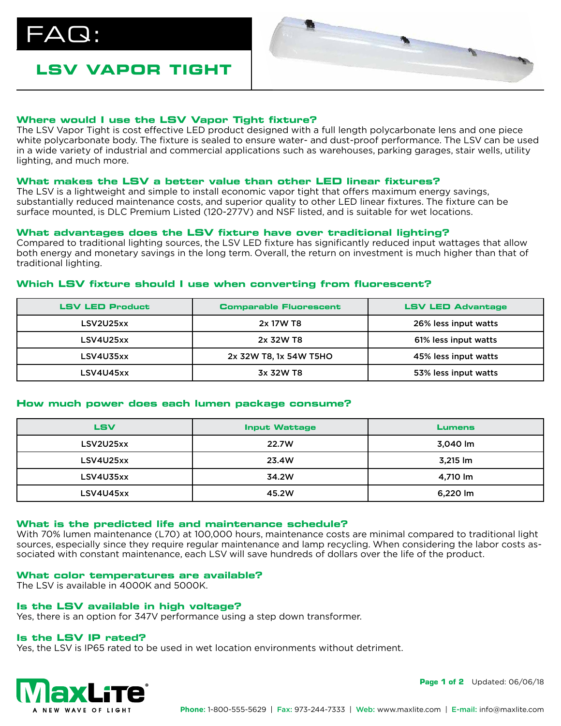$\mathsf{AG}$  :

# **LSV VAPOR TIGHT**



# **Where would I use the LSV Vapor Tight fixture?**

The LSV Vapor Tight is cost effective LED product designed with a full length polycarbonate lens and one piece white polycarbonate body. The fixture is sealed to ensure water- and dust-proof performance. The LSV can be used in a wide variety of industrial and commercial applications such as warehouses, parking garages, stair wells, utility lighting, and much more.

## **What makes the LSV a better value than other LED linear fixtures?**

The LSV is a lightweight and simple to install economic vapor tight that offers maximum energy savings, substantially reduced maintenance costs, and superior quality to other LED linear fixtures. The fixture can be surface mounted, is DLC Premium Listed (120-277V) and NSF listed, and is suitable for wet locations.

## **What advantages does the LSV fixture have over traditional lighting?**

Compared to traditional lighting sources, the LSV LED fixture has significantly reduced input wattages that allow both energy and monetary savings in the long term. Overall, the return on investment is much higher than that of traditional lighting.

# **Which LSV fixture should I use when converting from fluorescent?**

| <b>LSV LED Product</b> | <b>Comparable Fluorescent</b> | <b>LSV LED Advantage</b> |
|------------------------|-------------------------------|--------------------------|
| LSV2U25xx              | 2x 17W T8                     | 26% less input watts     |
| LSV4U25xx              | 2x 32W T8                     | 61% less input watts     |
| LSV4U35xx              | 2x 32W T8, 1x 54W T5HO        | 45% less input watts     |
| LSV4U45xx              | 3x 32W T8                     | 53% less input watts     |

#### **How much power does each lumen package consume?**

| LSV       | <b>Input Wattage</b> | <b>Lumens</b> |
|-----------|----------------------|---------------|
| LSV2U25xx | 22.7W                | 3,040 lm      |
| LSV4U25xx | 23.4W                | 3,215 lm      |
| LSV4U35xx | 34.2W                | 4,710 lm      |
| LSV4U45xx | 45.2W                | 6,220 lm      |

# **What is the predicted life and maintenance schedule?**

With 70% lumen maintenance (L70) at 100,000 hours, maintenance costs are minimal compared to traditional light sources, especially since they require regular maintenance and lamp recycling. When considering the labor costs associated with constant maintenance, each LSV will save hundreds of dollars over the life of the product.

#### **What color temperatures are available?**

The LSV is available in 4000K and 5000K.

# **Is the LSV available in high voltage?**

Yes, there is an option for 347V performance using a step down transformer.

#### **Is the LSV IP rated?**

Yes, the LSV is IP65 rated to be used in wet location environments without detriment.



**Page 1 of 2** Updated: 06/06/18